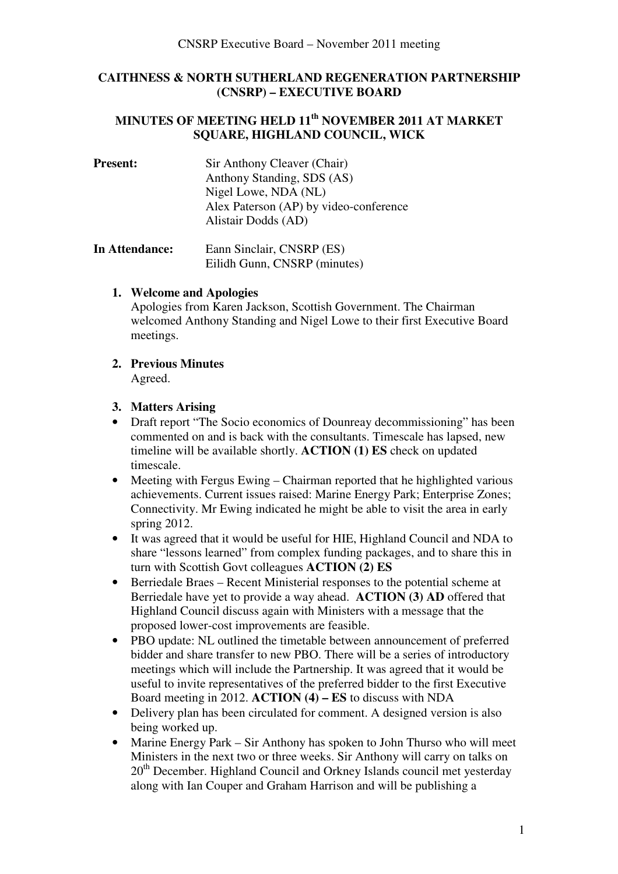### **CAITHNESS & NORTH SUTHERLAND REGENERATION PARTNERSHIP (CNSRP) – EXECUTIVE BOARD**

## **MINUTES OF MEETING HELD 11th NOVEMBER 2011 AT MARKET SQUARE, HIGHLAND COUNCIL, WICK**

**Present:** Sir Anthony Cleaver (Chair) Anthony Standing, SDS (AS) Nigel Lowe, NDA (NL) Alex Paterson (AP) by video-conference Alistair Dodds (AD)

**In Attendance:** Eann Sinclair, CNSRP (ES) Eilidh Gunn, CNSRP (minutes)

#### **1. Welcome and Apologies**

Apologies from Karen Jackson, Scottish Government. The Chairman welcomed Anthony Standing and Nigel Lowe to their first Executive Board meetings.

# **2. Previous Minutes**

Agreed.

#### **3. Matters Arising**

- Draft report "The Socio economics of Dounreay decommissioning" has been commented on and is back with the consultants. Timescale has lapsed, new timeline will be available shortly. **ACTION (1) ES** check on updated timescale.
- Meeting with Fergus Ewing Chairman reported that he highlighted various achievements. Current issues raised: Marine Energy Park; Enterprise Zones; Connectivity. Mr Ewing indicated he might be able to visit the area in early spring 2012.
- It was agreed that it would be useful for HIE, Highland Council and NDA to share "lessons learned" from complex funding packages, and to share this in turn with Scottish Govt colleagues **ACTION (2) ES**
- Berriedale Braes Recent Ministerial responses to the potential scheme at Berriedale have yet to provide a way ahead. **ACTION (3) AD** offered that Highland Council discuss again with Ministers with a message that the proposed lower-cost improvements are feasible.
- PBO update: NL outlined the timetable between announcement of preferred bidder and share transfer to new PBO. There will be a series of introductory meetings which will include the Partnership. It was agreed that it would be useful to invite representatives of the preferred bidder to the first Executive Board meeting in 2012. **ACTION (4) – ES** to discuss with NDA
- Delivery plan has been circulated for comment. A designed version is also being worked up.
- Marine Energy Park Sir Anthony has spoken to John Thurso who will meet Ministers in the next two or three weeks. Sir Anthony will carry on talks on 20<sup>th</sup> December. Highland Council and Orkney Islands council met yesterday along with Ian Couper and Graham Harrison and will be publishing a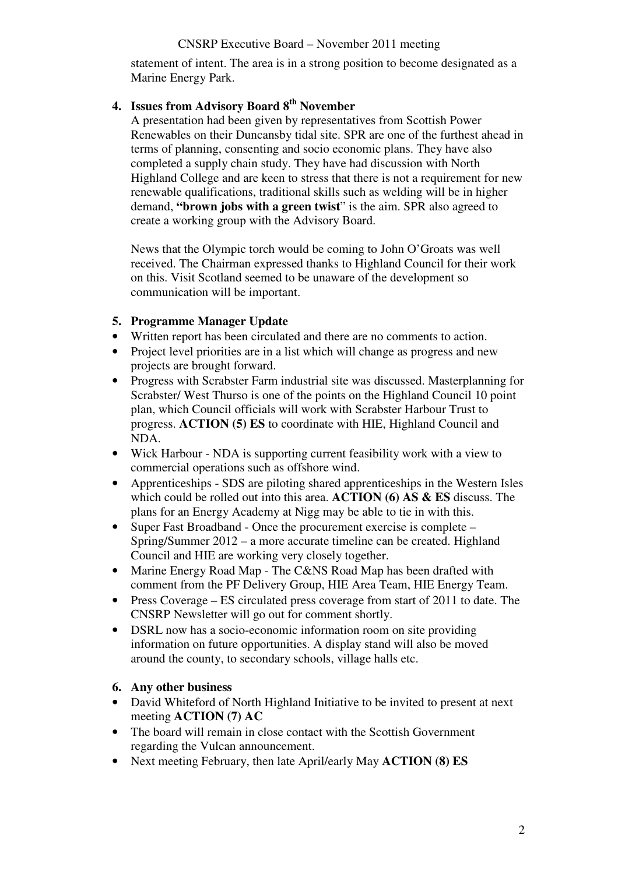#### CNSRP Executive Board – November 2011 meeting

statement of intent. The area is in a strong position to become designated as a Marine Energy Park.

## **4. Issues from Advisory Board 8th November**

A presentation had been given by representatives from Scottish Power Renewables on their Duncansby tidal site. SPR are one of the furthest ahead in terms of planning, consenting and socio economic plans. They have also completed a supply chain study. They have had discussion with North Highland College and are keen to stress that there is not a requirement for new renewable qualifications, traditional skills such as welding will be in higher demand, **"brown jobs with a green twist**" is the aim. SPR also agreed to create a working group with the Advisory Board.

News that the Olympic torch would be coming to John O'Groats was well received. The Chairman expressed thanks to Highland Council for their work on this. Visit Scotland seemed to be unaware of the development so communication will be important.

#### **5. Programme Manager Update**

- Written report has been circulated and there are no comments to action.
- Project level priorities are in a list which will change as progress and new projects are brought forward.
- Progress with Scrabster Farm industrial site was discussed. Masterplanning for Scrabster/ West Thurso is one of the points on the Highland Council 10 point plan, which Council officials will work with Scrabster Harbour Trust to progress. **ACTION (5) ES** to coordinate with HIE, Highland Council and NDA.
- Wick Harbour NDA is supporting current feasibility work with a view to commercial operations such as offshore wind.
- Apprenticeships SDS are piloting shared apprenticeships in the Western Isles which could be rolled out into this area. **ACTION (6) AS & ES** discuss. The plans for an Energy Academy at Nigg may be able to tie in with this.
- Super Fast Broadband Once the procurement exercise is complete Spring/Summer 2012 – a more accurate timeline can be created. Highland Council and HIE are working very closely together.
- Marine Energy Road Map The C&NS Road Map has been drafted with comment from the PF Delivery Group, HIE Area Team, HIE Energy Team.
- Press Coverage ES circulated press coverage from start of 2011 to date. The CNSRP Newsletter will go out for comment shortly.
- DSRL now has a socio-economic information room on site providing information on future opportunities. A display stand will also be moved around the county, to secondary schools, village halls etc.

#### **6. Any other business**

- David Whiteford of North Highland Initiative to be invited to present at next meeting **ACTION (7) AC**
- The board will remain in close contact with the Scottish Government regarding the Vulcan announcement.
- Next meeting February, then late April/early May **ACTION (8) ES**